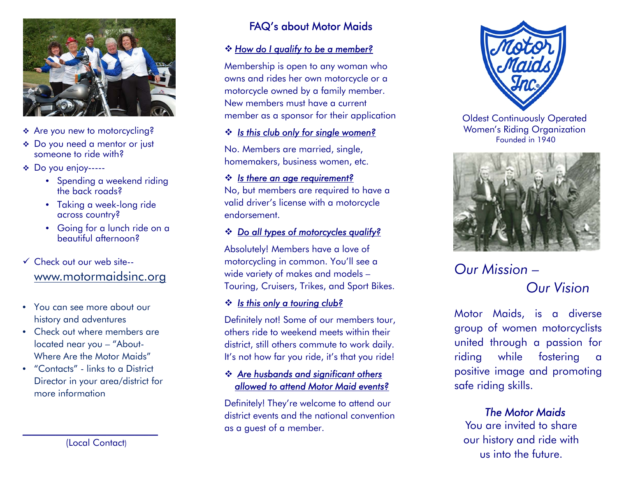

- Are you new to motorcycling?
- Do you need a mentor or just someone to ride with?
- Do you enjoy-----
	- Spending a weekend riding the back roads?
	- Taking a week-long ride across country?
	- Going for a lunch ride on a beautiful afternoon?

## Check out our web site- www.motormaidsinc.org

- You can see more about our history and adventures
- Check out where members are located near you – "About-Where Are the Motor Maids"
- "Contacts" links to a District Director in your area/district for more information

# FAQ's about Motor Maids

#### *How do I qualify to be a member?*

Membership is open to any woman who owns and rides her own motorcycle or a motorcycle owned by a family member. New members must have a current member as a sponsor for their application

#### *Is this club only for single women?*

No. Members are married, single, homemakers, business women, etc.

#### *Is there an age requirement?*

No, but members are required to have a valid driver's license with a motorcycle endorsement.

#### *Do all types of motorcycles qualify?*

Absolutely! Members have a love of motorcycling in common. You'll see a wide variety of makes and models – Touring, Cruisers, Trikes, and Sport Bikes.

#### *Is this only a touring club?*

Definitely not! Some of our members tour, others ride to weekend meets within their district, still others commute to work daily. It's not how far you ride, it's that you ride!

#### *Are husbands and significant others allowed to attend Motor Maid events?*

Definitely! They're welcome to attend our district events and the national convention as a guest of a member.



Oldest Continuously Operated Women's Riding Organization Founded in 1940



# *Our Mission –Our Vision*

Motor Maids, is <sup>a</sup> diverse group of women motorcyclists united through <sup>a</sup> passion for riding while fostering <sup>a</sup> positive image and promoting safe riding skills.

### *The Motor Maids*

You are invited to share our history and ride with us into the future.

\_\_\_\_\_\_\_\_\_\_\_\_\_\_\_\_\_\_\_\_\_\_\_\_\_\_\_\_\_ (Local Contact)